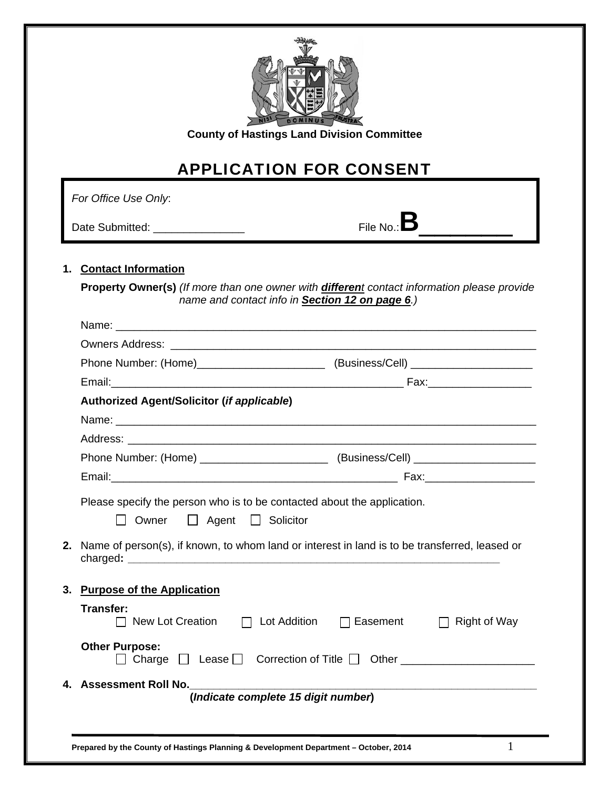

**County of Hastings Land Division Committee** 

# APPLICATION FOR CONSENT

|    | For Office Use Only:                                                                                                                                         |
|----|--------------------------------------------------------------------------------------------------------------------------------------------------------------|
|    | File No.: $B$<br>Date Submitted: _________________                                                                                                           |
|    |                                                                                                                                                              |
| 1. | <b>Contact Information</b>                                                                                                                                   |
|    | <b>Property Owner(s)</b> (If more than one owner with <b>different</b> contact information please provide<br>name and contact info in Section 12 on page 6.) |
|    |                                                                                                                                                              |
|    |                                                                                                                                                              |
|    | Phone Number: (Home)________________________________ (Business/Cell) _______________________________                                                         |
|    |                                                                                                                                                              |
|    | Authorized Agent/Solicitor (if applicable)                                                                                                                   |
|    |                                                                                                                                                              |
|    |                                                                                                                                                              |
|    | Phone Number: (Home) _______________________________ (Business/Cell) _______________________________                                                         |
|    |                                                                                                                                                              |
|    | Please specify the person who is to be contacted about the application.                                                                                      |
|    | Agent Solicitor<br>Owner                                                                                                                                     |
|    |                                                                                                                                                              |
|    | 2. Name of person(s), if known, to whom land or interest in land is to be transferred, leased or                                                             |
|    |                                                                                                                                                              |
| 3. | <b>Purpose of the Application</b>                                                                                                                            |
|    | Transfer:                                                                                                                                                    |
|    | □ New Lot Creation □ Lot Addition □ Easement □ Right of Way                                                                                                  |
|    | <b>Other Purpose:</b><br>□ Charge □ Lease □ Correction of Title □ Other ________________________________                                                     |
|    | 4. Assessment Roll No.                                                                                                                                       |
|    | (Indicate complete 15 digit number)                                                                                                                          |
|    |                                                                                                                                                              |
|    |                                                                                                                                                              |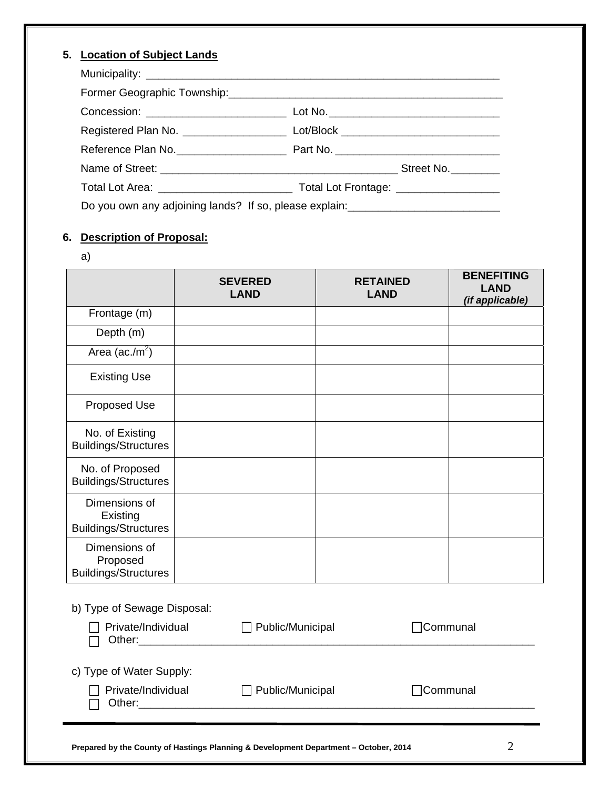# **5. Location of Subject Lands**

|  | Registered Plan No. _____________________ Lot/Block ____________________________ |  |
|--|----------------------------------------------------------------------------------|--|
|  |                                                                                  |  |
|  |                                                                                  |  |
|  |                                                                                  |  |
|  | Do you own any adjoining lands? If so, please explain: _________________________ |  |

# **6. Description of Proposal:**

a)

|                                                          | <b>SEVERED</b><br><b>LAND</b> | <b>RETAINED</b><br><b>LAND</b> | <b>BENEFITING</b><br><b>LAND</b><br>(if applicable) |
|----------------------------------------------------------|-------------------------------|--------------------------------|-----------------------------------------------------|
| Frontage (m)                                             |                               |                                |                                                     |
| Depth (m)                                                |                               |                                |                                                     |
| Area (ac./ $m^2$ )                                       |                               |                                |                                                     |
| <b>Existing Use</b>                                      |                               |                                |                                                     |
| Proposed Use                                             |                               |                                |                                                     |
| No. of Existing<br><b>Buildings/Structures</b>           |                               |                                |                                                     |
| No. of Proposed<br><b>Buildings/Structures</b>           |                               |                                |                                                     |
| Dimensions of<br>Existing<br><b>Buildings/Structures</b> |                               |                                |                                                     |
| Dimensions of<br>Proposed<br><b>Buildings/Structures</b> |                               |                                |                                                     |
| b) Type of Sewage Disposal:                              |                               |                                |                                                     |
| Private/Individual<br>Other:___________                  | $\Box$ Public/Municipal       |                                | Communal                                            |
| c) Type of Water Supply:                                 |                               |                                |                                                     |
| Private/Individual<br>Other:                             | Public/Municipal              |                                | Communal                                            |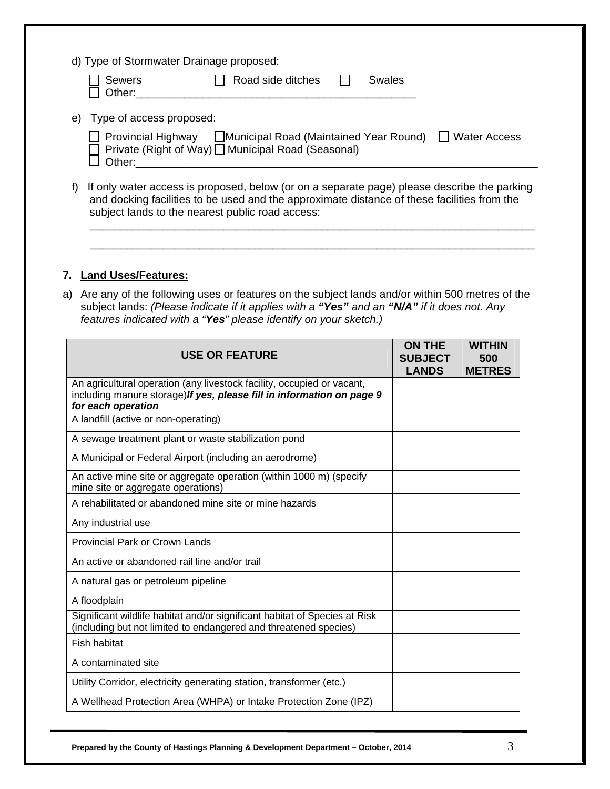| d) Type of Stormwater Drainage proposed: |                                                                                                                                                                                            |  |  |  |
|------------------------------------------|--------------------------------------------------------------------------------------------------------------------------------------------------------------------------------------------|--|--|--|
|                                          | Road side ditches<br><b>Sewers</b><br>Swales<br>Other:                                                                                                                                     |  |  |  |
| e)                                       | Type of access proposed:                                                                                                                                                                   |  |  |  |
|                                          | Provincial Highway □ Municipal Road (Maintained Year Round)<br><b>Water Access</b><br>$\mathbf{1}$<br>Private (Right of Way) [ Municipal Road (Seasonal)<br>Other:                         |  |  |  |
| f)                                       | If only water access is proposed, below (or on a separate page) please describe the parking<br>and docking facilities to be used and the approximate distance of these facilities from the |  |  |  |

and docking facilities to be used and the approximate distance of these facilities from the subject lands to the nearest public road access: \_\_\_\_\_\_\_\_\_\_\_\_\_\_\_\_\_\_\_\_\_\_\_\_\_\_\_\_\_\_\_\_\_\_\_\_\_\_\_\_\_\_\_\_\_\_\_\_\_\_\_\_\_\_\_\_\_\_\_\_\_\_\_\_\_\_\_\_\_\_\_\_\_

\_\_\_\_\_\_\_\_\_\_\_\_\_\_\_\_\_\_\_\_\_\_\_\_\_\_\_\_\_\_\_\_\_\_\_\_\_\_\_\_\_\_\_\_\_\_\_\_\_\_\_\_\_\_\_\_\_\_\_\_\_\_\_\_\_\_\_\_\_\_\_\_\_

# **7. Land Uses/Features:**

a) Are any of the following uses or features on the subject lands and/or within 500 metres of the subject lands: *(Please indicate if it applies with a "Yes" and an "N/A" if it does not. Any features indicated with a "Yes" please identify on your sketch.)*

| <b>USE OR FEATURE</b>                                                                                                                                                  | <b>ON THE</b><br><b>SUBJECT</b><br><b>LANDS</b> | <b>WITHIN</b><br>500<br><b>METRES</b> |
|------------------------------------------------------------------------------------------------------------------------------------------------------------------------|-------------------------------------------------|---------------------------------------|
| An agricultural operation (any livestock facility, occupied or vacant,<br>including manure storage) If yes, please fill in information on page 9<br>for each operation |                                                 |                                       |
| A landfill (active or non-operating)                                                                                                                                   |                                                 |                                       |
| A sewage treatment plant or waste stabilization pond                                                                                                                   |                                                 |                                       |
| A Municipal or Federal Airport (including an aerodrome)                                                                                                                |                                                 |                                       |
| An active mine site or aggregate operation (within 1000 m) (specify<br>mine site or aggregate operations)                                                              |                                                 |                                       |
| A rehabilitated or abandoned mine site or mine hazards                                                                                                                 |                                                 |                                       |
| Any industrial use                                                                                                                                                     |                                                 |                                       |
| Provincial Park or Crown Lands                                                                                                                                         |                                                 |                                       |
| An active or abandoned rail line and/or trail                                                                                                                          |                                                 |                                       |
| A natural gas or petroleum pipeline                                                                                                                                    |                                                 |                                       |
| A floodplain                                                                                                                                                           |                                                 |                                       |
| Significant wildlife habitat and/or significant habitat of Species at Risk<br>(including but not limited to endangered and threatened species)                         |                                                 |                                       |
| Fish habitat                                                                                                                                                           |                                                 |                                       |
| A contaminated site                                                                                                                                                    |                                                 |                                       |
| Utility Corridor, electricity generating station, transformer (etc.)                                                                                                   |                                                 |                                       |
| A Wellhead Protection Area (WHPA) or Intake Protection Zone (IPZ)                                                                                                      |                                                 |                                       |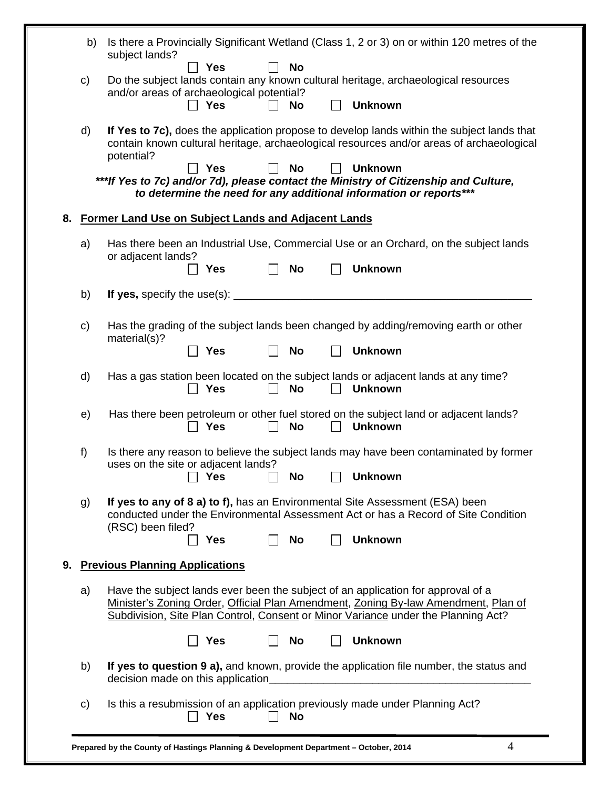|    | b) | Is there a Provincially Significant Wetland (Class 1, 2 or 3) on or within 120 metres of the<br>subject lands?                                                                                                                                              |
|----|----|-------------------------------------------------------------------------------------------------------------------------------------------------------------------------------------------------------------------------------------------------------------|
|    | c) | <b>No</b><br><b>Yes</b><br>Do the subject lands contain any known cultural heritage, archaeological resources<br>and/or areas of archaeological potential?<br><b>Unknown</b><br><b>Yes</b><br>No                                                            |
|    | d) | If Yes to 7c), does the application propose to develop lands within the subject lands that<br>contain known cultural heritage, archaeological resources and/or areas of archaeological<br>potential?<br><b>Yes</b><br><b>No</b><br><b>Unknown</b>           |
|    |    | ***If Yes to 7c) and/or 7d), please contact the Ministry of Citizenship and Culture,<br>to determine the need for any additional information or reports***                                                                                                  |
|    |    | 8. Former Land Use on Subject Lands and Adjacent Lands                                                                                                                                                                                                      |
|    | a) | Has there been an Industrial Use, Commercial Use or an Orchard, on the subject lands<br>or adjacent lands?                                                                                                                                                  |
|    |    | <b>Unknown</b><br><b>Yes</b><br>No                                                                                                                                                                                                                          |
|    | b) |                                                                                                                                                                                                                                                             |
|    | c) | Has the grading of the subject lands been changed by adding/removing earth or other<br>material(s)?                                                                                                                                                         |
|    |    | <b>Unknown</b><br><b>Yes</b><br>No                                                                                                                                                                                                                          |
|    | d) | Has a gas station been located on the subject lands or adjacent lands at any time?<br><b>Unknown</b><br><b>Yes</b><br>No                                                                                                                                    |
|    | e) | Has there been petroleum or other fuel stored on the subject land or adjacent lands?<br><b>Yes</b><br><b>No</b><br><b>Unknown</b>                                                                                                                           |
|    | f) | Is there any reason to believe the subject lands may have been contaminated by former<br>uses on the site or adjacent lands?                                                                                                                                |
|    |    | $\Box$ Yes $\Box$ No<br>Unknown                                                                                                                                                                                                                             |
|    | g) | If yes to any of 8 a) to f), has an Environmental Site Assessment (ESA) been<br>conducted under the Environmental Assessment Act or has a Record of Site Condition<br>(RSC) been filed?                                                                     |
|    |    | <b>Unknown</b><br><b>Yes</b><br><b>No</b>                                                                                                                                                                                                                   |
| 9. |    | <b>Previous Planning Applications</b>                                                                                                                                                                                                                       |
|    | a) | Have the subject lands ever been the subject of an application for approval of a<br>Minister's Zoning Order, Official Plan Amendment, Zoning By-law Amendment, Plan of<br>Subdivision. Site Plan Control, Consent or Minor Variance under the Planning Act? |
|    |    | <b>Unknown</b><br><b>Yes</b><br>No                                                                                                                                                                                                                          |
|    | b) | If yes to question 9 a), and known, provide the application file number, the status and<br>decision made on this application<br><u> 2001 - Jan James James Jan James James Jan James James Jan James James Jan Jan Jan Jan Jan Jan Jan Jan Jan Ja</u>       |
|    | C) | Is this a resubmission of an application previously made under Planning Act?<br><b>Yes</b><br>No                                                                                                                                                            |
|    |    | 4<br>Prepared by the County of Hastings Planning & Development Department - October, 2014                                                                                                                                                                   |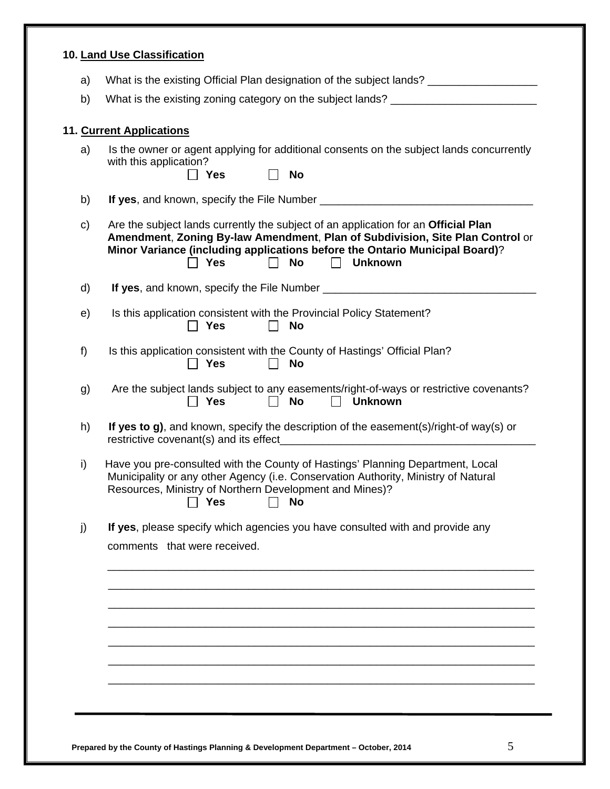| a) | What is the existing Official Plan designation of the subject lands? __________________                                                                                                                                                                                                             |  |  |
|----|-----------------------------------------------------------------------------------------------------------------------------------------------------------------------------------------------------------------------------------------------------------------------------------------------------|--|--|
| b) | What is the existing zoning category on the subject lands? _____________________                                                                                                                                                                                                                    |  |  |
|    | 11. Current Applications                                                                                                                                                                                                                                                                            |  |  |
| a) | Is the owner or agent applying for additional consents on the subject lands concurrently<br>with this application?<br><b>Yes</b><br><b>No</b>                                                                                                                                                       |  |  |
| b) |                                                                                                                                                                                                                                                                                                     |  |  |
| c) | Are the subject lands currently the subject of an application for an Official Plan<br>Amendment, Zoning By-law Amendment, Plan of Subdivision, Site Plan Control or<br>Minor Variance (including applications before the Ontario Municipal Board)?<br>Yes<br><b>No</b><br>$\perp$<br><b>Unknown</b> |  |  |
| d) |                                                                                                                                                                                                                                                                                                     |  |  |
| e) | Is this application consistent with the Provincial Policy Statement?<br><b>Yes</b><br>No                                                                                                                                                                                                            |  |  |
| f) | Is this application consistent with the County of Hastings' Official Plan?<br><b>No</b><br><b>Yes</b>                                                                                                                                                                                               |  |  |
| g) | Are the subject lands subject to any easements/right-of-ways or restrictive covenants?<br><b>Unknown</b><br><b>□ Yes</b><br>No<br>$\mathbf{I}$                                                                                                                                                      |  |  |
| h) | If yes to g), and known, specify the description of the easement(s)/right-of way(s) or<br>restrictive covenant(s) and its effect <b>container and its effect</b>                                                                                                                                    |  |  |
| i) | Have you pre-consulted with the County of Hastings' Planning Department, Local<br>Municipality or any other Agency (i.e. Conservation Authority, Ministry of Natural<br>Resources, Ministry of Northern Development and Mines)?<br><b>Yes</b><br>No                                                 |  |  |
| j) | If yes, please specify which agencies you have consulted with and provide any                                                                                                                                                                                                                       |  |  |
|    | comments that were received.                                                                                                                                                                                                                                                                        |  |  |
|    |                                                                                                                                                                                                                                                                                                     |  |  |
|    |                                                                                                                                                                                                                                                                                                     |  |  |
|    |                                                                                                                                                                                                                                                                                                     |  |  |
|    |                                                                                                                                                                                                                                                                                                     |  |  |
|    |                                                                                                                                                                                                                                                                                                     |  |  |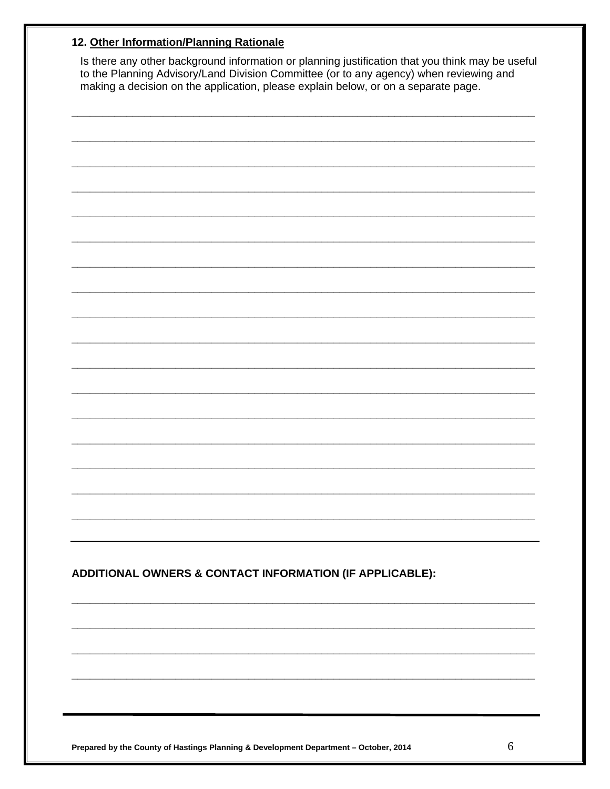#### 12. Other Information/Planning Rationale

Is there any other background information or planning justification that you think may be useful to the Planning Advisory/Land Division Committee (or to any agency) when reviewing and making a decision on the application, please explain below, or on a separate page.

| ADDITIONAL OWNERS & CONTACT INFORMATION (IF APPLICABLE): |
|----------------------------------------------------------|
|                                                          |
|                                                          |
|                                                          |
|                                                          |
|                                                          |
|                                                          |
|                                                          |
|                                                          |
|                                                          |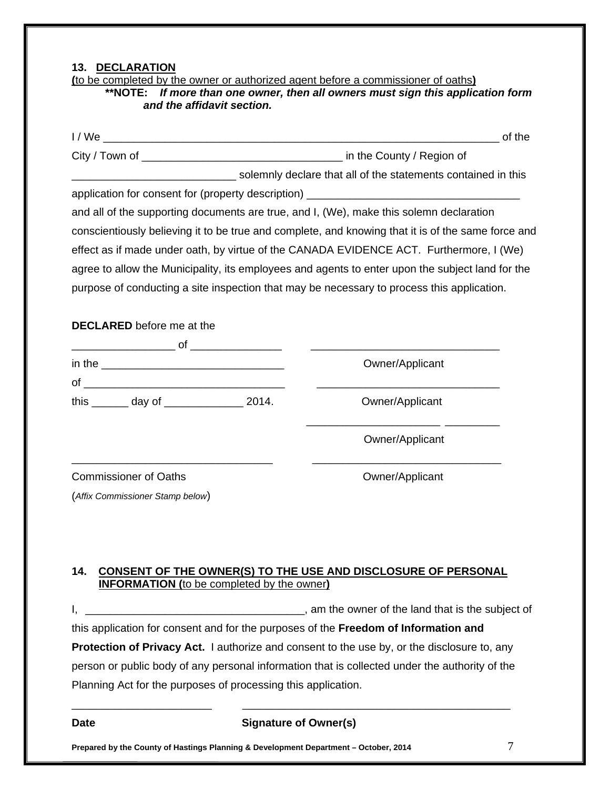#### **13. DECLARATION**

**(**to be completed by the owner or authorized agent before a commissioner of oaths**) \*\*NOTE:** *If more than one owner, then all owners must sign this application form and the affidavit section.*

|                                                                                                    | of the                                                        |
|----------------------------------------------------------------------------------------------------|---------------------------------------------------------------|
|                                                                                                    |                                                               |
|                                                                                                    | solemnly declare that all of the statements contained in this |
| application for consent for (property description) ______________________________                  |                                                               |
| and all of the supporting documents are true, and I, (We), make this solemn declaration            |                                                               |
| conscientiously believing it to be true and complete, and knowing that it is of the same force and |                                                               |
| effect as if made under oath, by virtue of the CANADA EVIDENCE ACT. Furthermore, I (We)            |                                                               |
| agree to allow the Municipality, its employees and agents to enter upon the subject land for the   |                                                               |
| purpose of conducting a site inspection that may be necessary to process this application.         |                                                               |
| <b>DECLARED</b> before me at the                                                                   |                                                               |
| ot                                                                                                 |                                                               |

|                                        | Owner/Applicant |
|----------------------------------------|-----------------|
| of                                     |                 |
| this _______ day of _________<br>2014. | Owner/Applicant |
|                                        | Owner/Applicant |
| <b>Commissioner of Oaths</b>           | Owner/Applicant |
| (Affix Commissioner Stamp below)       |                 |

#### **14. CONSENT OF THE OWNER(S) TO THE USE AND DISCLOSURE OF PERSONAL INFORMATION (**to be completed by the owner**)**

I,  $\frac{1}{2}$  am the owner of the land that is the subject of this application for consent and for the purposes of the **Freedom of Information and Protection of Privacy Act.** I authorize and consent to the use by, or the disclosure to, any person or public body of any personal information that is collected under the authority of the Planning Act for the purposes of processing this application.

### Date **Case Signature of Owner(s)**

\_\_\_\_\_\_\_\_\_\_\_\_\_\_\_\_\_\_\_\_\_\_\_ \_\_\_\_\_\_\_\_\_\_\_\_\_\_\_\_\_\_\_\_\_\_\_\_\_\_\_\_\_\_\_\_\_\_\_\_\_\_\_\_\_\_\_\_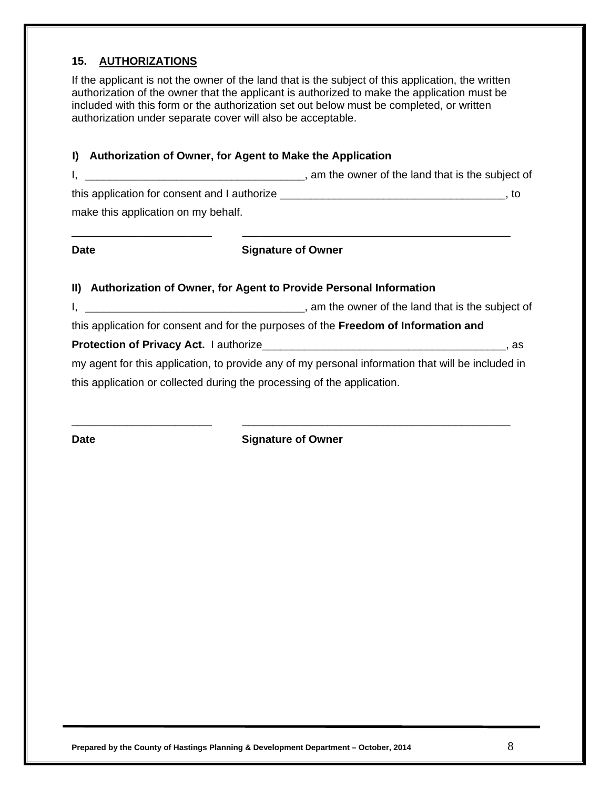#### **15. AUTHORIZATIONS**

If the applicant is not the owner of the land that is the subject of this application, the written authorization of the owner that the applicant is authorized to make the application must be included with this form or the authorization set out below must be completed, or written authorization under separate cover will also be acceptable.

#### **I) Authorization of Owner, for Agent to Make the Application**

|                                              | am the owner of the land that is the subject of |
|----------------------------------------------|-------------------------------------------------|
| this application for consent and I authorize | τo                                              |
| make this application on my behalf.          |                                                 |

# \_\_\_\_\_\_\_\_\_\_\_\_\_\_\_\_\_\_\_\_\_\_\_ \_\_\_\_\_\_\_\_\_\_\_\_\_\_\_\_\_\_\_\_\_\_\_\_\_\_\_\_\_\_\_\_\_\_\_\_\_\_\_\_\_\_\_\_ Date **Date Signature of Owner**

#### **II) Authorization of Owner, for Agent to Provide Personal Information**

| , am the owner of the land that is the subject of                                                 |  |      |
|---------------------------------------------------------------------------------------------------|--|------|
| this application for consent and for the purposes of the Freedom of Information and               |  |      |
| Protection of Privacy Act. I authorize                                                            |  | . as |
| my agent for this application, to provide any of my personal information that will be included in |  |      |
| this application or collected during the processing of the application.                           |  |      |

\_\_\_\_\_\_\_\_\_\_\_\_\_\_\_\_\_\_\_\_\_\_\_ \_\_\_\_\_\_\_\_\_\_\_\_\_\_\_\_\_\_\_\_\_\_\_\_\_\_\_\_\_\_\_\_\_\_\_\_\_\_\_\_\_\_\_\_ Date **Date Signature of Owner**